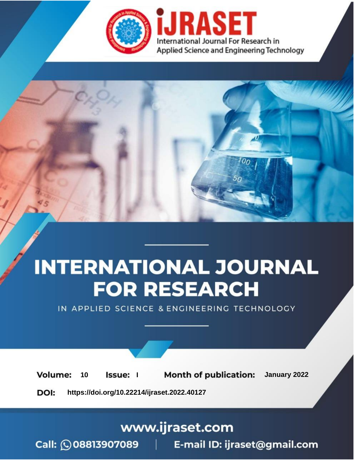

# **INTERNATIONAL JOURNAL FOR RESEARCH**

IN APPLIED SCIENCE & ENGINEERING TECHNOLOGY

**Month of publication:** January 2022 **Volume:** 10 **Issue:** I

DOI: https://doi.org/10.22214/ijraset.2022.40127

www.ijraset.com

Call: 008813907089 | E-mail ID: ijraset@gmail.com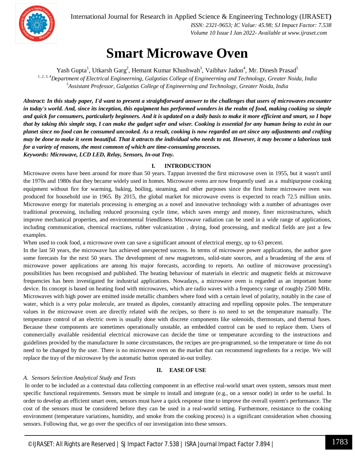

International Journal for Research in Applied Science & Engineering Technology (IJRASET**)**

 *ISSN: 2321-9653; IC Value: 45.98; SJ Impact Factor: 7.538 Volume 10 Issue I Jan 2022- Available at www.ijraset.com*

### **Smart Microwave Oven**

Yash Gupta<sup>1</sup>, Utkarsh Garg<sup>2</sup>, Hemant Kumar Khushwah<sup>3</sup>, Vaibhav Jadon<sup>4</sup>, Mr. Dinesh Prasad<sup>5</sup> *1, 2, 3, 4Department of Electrical Engineerning, Galgotias College of Engineerning and Technology, Greater Noida, India <sup>5</sup>Assistant Professor, Galgotias College of Engineerning and Technology, Greater Noida, India*

*Abstract: In this study paper, I'd want to present a straightforward answer to the challenges that users of microwaves encounter in today's world. And, since its inception, this equipment has performed wonders in the realm of food, making cooking so simple and quick for consumers, particularly beginners. And it is updated on a daily basis to make it more efficient and smart, so I hope that by taking this simple step, I can make the gadget safer and wiser. Cooking is essential for any human being to exist in our planet since no food can be consumed uncooked. As a result, cooking is now regarded an art since any adjustments and crafting may be done to make it seem beautiful. That it attracts the individual who needs to eat. However, it may become a laborious task for a variety of reasons, the most common of which are time-consuming processes. Keywords: Microwave, LCD LED, Relay, Sensors, In-out Tray.*

**I. INTRODUCTION**

Microwave ovens have been around for more than 50 years. Tappan invented the first microwave oven in 1955, but it wasn't until the 1970s and 1980s that they became widely used in homes. Microwave ovens are now frequently used as a multipurpose cooking equipment without fire for warming, baking, boiling, steaming, and other purposes since the first home microwave oven was produced for household use in 1965. By 2015, the global market for microwave ovens is expected to reach 72.5 million units. Microwave energy for materials processing is emerging as a novel and innovative technology with a number of advantages over traditional processing, including reduced processing cycle time, which saves energy and money, finer microstructures, which improve mechanical properties, and environmental friendliness Microwave radiation can be used in a wide range of applications, including communication, chemical reactions, rubber vulcanization , drying, food processing, and medical fields are just a few examples.

When used to cook food, a microwave oven can save a significant amount of electrical energy, up to 63 percent.

In the last 50 years, the microwave has achieved unexpected success. In terms of microwave power applications, the author gave some forecasts for the next 50 years. The development of new magnetrons, solid-state sources, and a broadening of the area of microwave power applications are among his major forecasts, according to reports. An outline of microwave processing's possibilities has been recognised and published. The heating behaviour of materials in electric and magnetic fields at microwave frequencies has been investigated for industrial applications. Nowadays, a microwave oven is regarded as an important home device. Its concept is based on heating food with microwaves, which are radio waves with a frequency range of roughly 2500 MHz. Microwaves with high power are emitted inside metallic chambers where food with a certain level of polarity, notably in the case of water, which is a very polar molecule, are treated as dipoles, constantly attracting and repelling opposite poles. The temperature values in the microwave oven are directly related with the recipes, so there is no need to set the temperature manually. The temperature control of an electric oven is usually done with discrete components like solenoids, thermostats, and thermal fuses. Because these components are sometimes operationally unstable, an embedded control can be used to replace them. Users of commercially available residential electrical microwave can decide the time or temperature according to the instructions and guidelines provided by the manufacturer In some circumstances, the recipes are pre-programmed, so the temperature or time do not need to be changed by the user. There is no microwave oven on the market that can recommend ingredients for a recipe. We will replace the tray of the microwave by the automatic button operated in-out trolley.

#### **II. EASE OF USE**

#### *A. Sensors Selection Analytical Study and Tests*

In order to be included as a contextual data collecting component in an effective real-world smart oven system, sensors must meet specific functional requirements. Sensors must be simple to install and integrate (e.g., on a sensor node) in order to be useful. In order to develop an efficient smart oven, sensors must have a quick response time to improve the overall system's performance. The cost of the sensors must be considered before they can be used in a real-world setting. Furthermore, resistance to the cooking environment (temperature variations, humidity, and smoke from the cooking process) is a significant consideration when choosing sensors. Following that, we go over the specifics of our investigation into these sensors.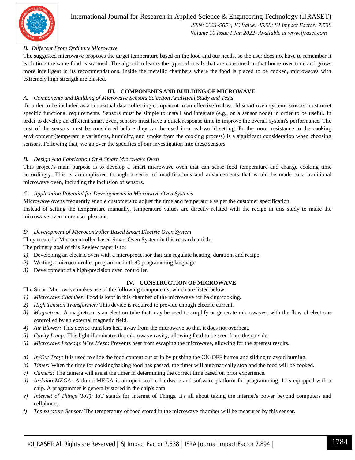

#### *B. Different From Ordinary Microwave*

The suggested microwave proposes the target temperature based on the food and our needs, so the user does not have to remember it each time the same food is warmed. The algorithm learns the types of meals that are consumed in that home over time and grows more intelligent in its recommendations. Inside the metallic chambers where the food is placed to be cooked, microwaves with extremely high strength are blasted.

#### **III. COMPONENTS AND BUILDING OF MICROWAVE**

#### *A. Components and Building of Microwave Sensors Selection Analytical Study and Tests*

In order to be included as a contextual data collecting component in an effective real-world smart oven system, sensors must meet specific functional requirements. Sensors must be simple to install and integrate (e.g., on a sensor node) in order to be useful. In order to develop an efficient smart oven, sensors must have a quick response time to improve the overall system's performance. The cost of the sensors must be considered before they can be used in a real-world setting. Furthermore, resistance to the cooking environment (temperature variations, humidity, and smoke from the cooking process) is a significant consideration when choosing sensors. Following that, we go over the specifics of our investigation into these sensors

#### *B. Design And Fabrication Of A Smart Microwave Oven*

This project's main purpose is to develop a smart microwave oven that can sense food temperature and change cooking time accordingly. This is accomplished through a series of modifications and advancements that would be made to a traditional microwave oven, including the inclusion of sensors.

#### *C. Application Potential for Developments in Microwave Oven Systems*

Microwave ovens frequently enable customers to adjust the time and temperature as per the customer specification.

Instead of setting the temperature manually, temperature values are directly related with the recipe in this study to make the microwave oven more user pleasant.

#### *D. Development of Microcontroller Based Smart Electric Oven System*

They created a Microcontroller-based Smart Oven System in this research article.

The primary goal of this Review paper is to:

- *1*) Developing an electric oven with a microprocessor that can regulate heating, duration, and recipe.
- *2)* Writing a microcontroller programme in theC programming language.
- *3)* Development of a high-precision oven controller.

#### **IV. CONSTRUCTION OF MICROWAVE**

The Smart Microwave makes use of the following components, which are listed below:

- *1) Microwave Chamber:* Food is kept in this chamber of the microwave for baking/cooking.
- *2) High Tension Transformer:* This device is required to provide enough electric current.
- *3) Magnetron:* A magnetron is an electron tube that may be used to amplify or generate microwaves, with the flow of electrons controlled by an external magnetic field.
- *4) Air Blower:* This device transfers heat away from the microwave so that it does not overheat.
- *5) Cavity Lamp:* This light illuminates the microwave cavity, allowing food to be seen from the outside.
- *6) Microwave Leakage Wire Mesh*: Prevents heat from escaping the microwave, allowing for the greatest results.
- *a) In/Out Tray:* It is used to slide the food content out or in by pushing the ON-OFF button and sliding to avoid burning.
- *b) Timer:* When the time for cooking/baking food has passed, the timer will automatically stop and the food will be cooked.
- *c) Camera:* The camera will assist the timer in determining the correct time based on prior experience.
- *d) Arduino MEGA:* Arduino MEGA is an open source hardware and software platform for programming. It is equipped with a chip. A programmer is generally stored in the chip's data.
- *e) Internet of Things (IoT):* IoT stands for Internet of Things. It's all about taking the internet's power beyond computers and cellphones.
- *f) Temperature Sensor:* The temperature of food stored in the microwave chamber will be measured by this sensor.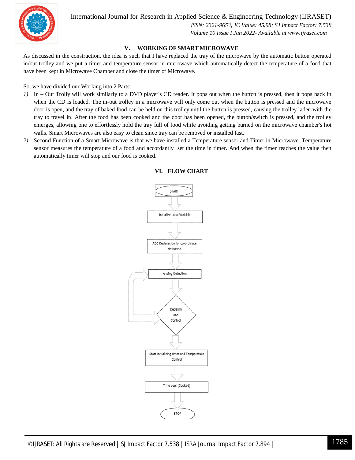

International Journal for Research in Applied Science & Engineering Technology (IJRASET**)**

 *ISSN: 2321-9653; IC Value: 45.98; SJ Impact Factor: 7.538 Volume 10 Issue I Jan 2022- Available at www.ijraset.com*

#### **V. WORKING OF SMART MICROWAVE**

As discussed in the construction, the idea is such that I have replaced the tray of the microwave by the automatic button operated in/out trolley and we put a timer and temperature sensor in microwave which automatically detect the temperature of a food that have been kept in Microwave Chamber and close the timer of Microwave.

So, we have divided our Working into 2 Parts:

- *1)* In Out Trolly will work similarly to a DVD player's CD reader. It pops out when the button is pressed, then it pops back in when the CD is loaded. The in-out trolley in a microwave will only come out when the button is pressed and the microwave door is open, and the tray of baked food can be held on this trolley until the button is pressed, causing the trolley laden with the tray to travel in. After the food has been cooked and the door has been opened, the button/switch is pressed, and the trolley emerges, allowing one to effortlessly hold the tray full of food while avoiding getting burned on the microwave chamber's hot walls. Smart Microwaves are also easy to clean since tray can be removed or installed fast.
- *2)* Second Function of a Smart Microwave is that we have installed a Temperature sensor and Timer in Microwave. Temperature sensor measures the temperature of a food and accordantly set the time in timer. And when the timer reaches the value then automatically timer will stop and our food is cooked.



#### **VI. FLOW CHART**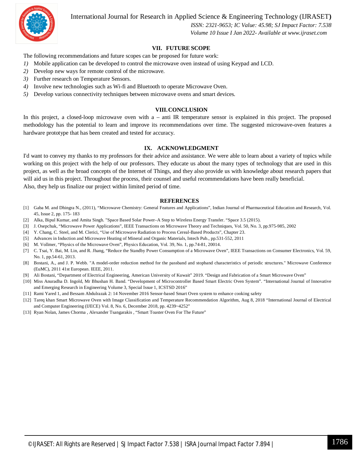International Journal for Research in Applied Science & Engineering Technology (IJRASET**)**



 *ISSN: 2321-9653; IC Value: 45.98; SJ Impact Factor: 7.538 Volume 10 Issue I Jan 2022- Available at www.ijraset.com*

#### **VII. FUTURE SCOPE**

The following recommendations and future scopes can be proposed for future work:

- *1)* Mobile application can be developed to control the microwave oven instead of using Keypad and LCD.
- *2)* Develop new ways for remote control of the microwave.
- *3)* Further research on Temperature Sensors.
- *4)* Involve new technologies such as Wi-fi and Bluetooth to operate Microwave Oven.
- *5)* Develop various connectivity techniques between microwave ovens and smart devices*.*

#### **VIII.CONCLUSION**

In this project, a closed-loop microwave oven with a – anti IR temperature sensor is explained in this project. The proposed methodology has the potential to learn and improve its recommendations over time. The suggested microwave-oven features a hardware prototype that has been created and tested for accuracy.

#### **IX. ACKNOWLEDGMENT**

I'd want to convey my thanks to my professors for their advice and assistance. We were able to learn about a variety of topics while working on this project with the help of our professors. They educate us about the many types of technology that are used in this project, as well as the broad concepts of the Internet of Things, and they also provide us with knowledge about research papers that will aid us in this project. Throughout the process, their counsel and useful recommendations have been really beneficial. Also, they help us finalize our project within limited period of time.

#### **REFERENCES**

- [1] Gaba M. and Dhingra N., (2011), "Microwave Chemistry: General Features and Applications", Indian Journal of Pharmaceutical Education and Research, Vol. 45, Issue 2, pp. 175- 183
- [2] Alka, Bipul Kumar, and Amita Singh. "Space Based Solar Power–A Step to Wireless Energy Transfer. "Space 3.5 (2015).
- [3] J. Osepchuk, "Microwave Power Applications", IEEE Transactions on Microwave Theory and Techniques, Vol. 50, No. 3, pp.975-985, 2002
- [4] Y. Chang, C. Steel, and M. Clerici, "Use of Microwave Radiation to Process Cereal-Based Products", Chapter 23.
- [5] Advances in Induction and Microwave Heating of Mineral and Organic Materials, Intech Pub., pp.531-552, 2011
- [6] M. Vollmer, "Physics of the Microwave Oven", Physics Education, Vol. 39, No. 1, pp.74-81, 20014.
- [7] C. Tsai, Y. Bai, M. Lin, and R. Jhang, "Reduce the Standby Power Consumption of a Microwave Oven", IEEE Transactions on Consumer Electronics, Vol. 59, No. 1, pp.54-61, 2013.
- [8] Bostani, A., and J. P. Webb. "A model-order reduction method for the passband and stopband characteristics of periodic structures." Microwave Conference (EuMC), 2011 41st European. IEEE, 2011.
- [9] Ali Bostani, "Department of Electrical Engineering, American University of Kuwait" 2019. "Design and Fabrication of a Smart Microwave Oven"
- [10] Miss Anuradha D. Ingold, Mr Bhushan H. Band. "Development of Microcontroller Based Smart Electric Oven System". "International Journal of Innovative and Emerging Research in Engineering Volume 3, Special Issue 1, ICSTSD 2016"
- [11] Rami Yared 1, and Bessam Abdulrazak 2: 14 November 2016 Sensor-based Smart Oven system to enhance cooking safety
- [12] Tareq khan Smart Microwave Oven with Image Classification and Temperature Recommendation Algorithm, Aug 8, 2018 "International Journal of Electrical and Computer Engineering (IJECE) Vol. 8, No. 6, December 2018, pp. 4239~4252"
- [13] Ryan Nolan, James Chorma , Alexander Tsangarakis , "Smart Toaster Oven For The Future"